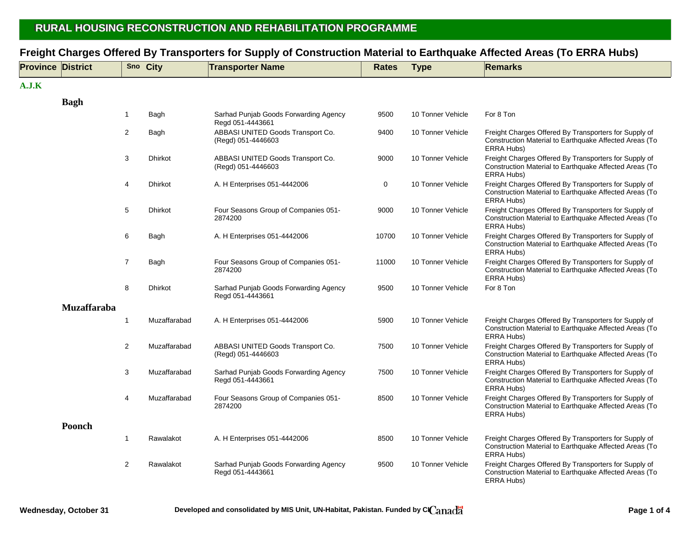## **RURAL HOUSING RECONS RURAL HOUSING RECONSTRUCTION TRUCTION AND REHAB AND REHABILITATION PROGRAMME ILITATION PROGRAMME**

| <b>Province District</b> |                    |                | Sno City       | <b>Transporter Name</b>                                   | <b>Rates</b> | <b>Type</b>       | <b>Remarks</b>                                                                                                                |
|--------------------------|--------------------|----------------|----------------|-----------------------------------------------------------|--------------|-------------------|-------------------------------------------------------------------------------------------------------------------------------|
| A.J.K                    |                    |                |                |                                                           |              |                   |                                                                                                                               |
|                          | <b>Bagh</b>        |                |                |                                                           |              |                   |                                                                                                                               |
|                          |                    | $\mathbf{1}$   | Bagh           | Sarhad Punjab Goods Forwarding Agency<br>Regd 051-4443661 | 9500         | 10 Tonner Vehicle | For 8 Ton                                                                                                                     |
|                          |                    | $\overline{c}$ | Bagh           | ABBASI UNITED Goods Transport Co.<br>(Regd) 051-4446603   | 9400         | 10 Tonner Vehicle | Freight Charges Offered By Transporters for Supply of<br>Construction Material to Earthquake Affected Areas (To<br>ERRA Hubs) |
|                          |                    | 3              | <b>Dhirkot</b> | ABBASI UNITED Goods Transport Co.<br>(Regd) 051-4446603   | 9000         | 10 Tonner Vehicle | Freight Charges Offered By Transporters for Supply of<br>Construction Material to Earthquake Affected Areas (To<br>ERRA Hubs) |
|                          |                    | 4              | Dhirkot        | A. H Enterprises 051-4442006                              | 0            | 10 Tonner Vehicle | Freight Charges Offered By Transporters for Supply of<br>Construction Material to Earthquake Affected Areas (To<br>ERRA Hubs) |
|                          |                    | 5              | <b>Dhirkot</b> | Four Seasons Group of Companies 051-<br>2874200           | 9000         | 10 Tonner Vehicle | Freight Charges Offered By Transporters for Supply of<br>Construction Material to Earthquake Affected Areas (To<br>ERRA Hubs) |
|                          |                    | 6              | Bagh           | A. H Enterprises 051-4442006                              | 10700        | 10 Tonner Vehicle | Freight Charges Offered By Transporters for Supply of<br>Construction Material to Earthquake Affected Areas (To<br>ERRA Hubs) |
|                          |                    | $\overline{7}$ | Bagh           | Four Seasons Group of Companies 051-<br>2874200           | 11000        | 10 Tonner Vehicle | Freight Charges Offered By Transporters for Supply of<br>Construction Material to Earthquake Affected Areas (To<br>ERRA Hubs) |
|                          |                    | 8              | <b>Dhirkot</b> | Sarhad Punjab Goods Forwarding Agency<br>Regd 051-4443661 | 9500         | 10 Tonner Vehicle | For 8 Ton                                                                                                                     |
|                          | <b>Muzaffaraba</b> |                |                |                                                           |              |                   |                                                                                                                               |
|                          |                    | $\mathbf{1}$   | Muzaffarabad   | A. H Enterprises 051-4442006                              | 5900         | 10 Tonner Vehicle | Freight Charges Offered By Transporters for Supply of<br>Construction Material to Earthquake Affected Areas (To<br>ERRA Hubs) |
|                          |                    | $\overline{2}$ | Muzaffarabad   | ABBASI UNITED Goods Transport Co.<br>(Regd) 051-4446603   | 7500         | 10 Tonner Vehicle | Freight Charges Offered By Transporters for Supply of<br>Construction Material to Earthquake Affected Areas (To<br>ERRA Hubs) |
|                          |                    | 3              | Muzaffarabad   | Sarhad Punjab Goods Forwarding Agency<br>Regd 051-4443661 | 7500         | 10 Tonner Vehicle | Freight Charges Offered By Transporters for Supply of<br>Construction Material to Earthquake Affected Areas (To<br>ERRA Hubs) |
|                          |                    | 4              | Muzaffarabad   | Four Seasons Group of Companies 051-<br>2874200           | 8500         | 10 Tonner Vehicle | Freight Charges Offered By Transporters for Supply of<br>Construction Material to Earthquake Affected Areas (To<br>ERRA Hubs) |
|                          | <b>Poonch</b>      |                |                |                                                           |              |                   |                                                                                                                               |
|                          |                    | $\mathbf{1}$   | Rawalakot      | A. H Enterprises 051-4442006                              | 8500         | 10 Tonner Vehicle | Freight Charges Offered By Transporters for Supply of<br>Construction Material to Earthquake Affected Areas (To<br>ERRA Hubs) |
|                          |                    | 2              | Rawalakot      | Sarhad Punjab Goods Forwarding Agency<br>Regd 051-4443661 | 9500         | 10 Tonner Vehicle | Freight Charges Offered By Transporters for Supply of<br>Construction Material to Earthquake Affected Areas (To<br>ERRA Hubs) |

## **Freight Charges Offered By Transporters for Supply of Construction Material to Earthquake Affected Areas (To ERRA Hubs)**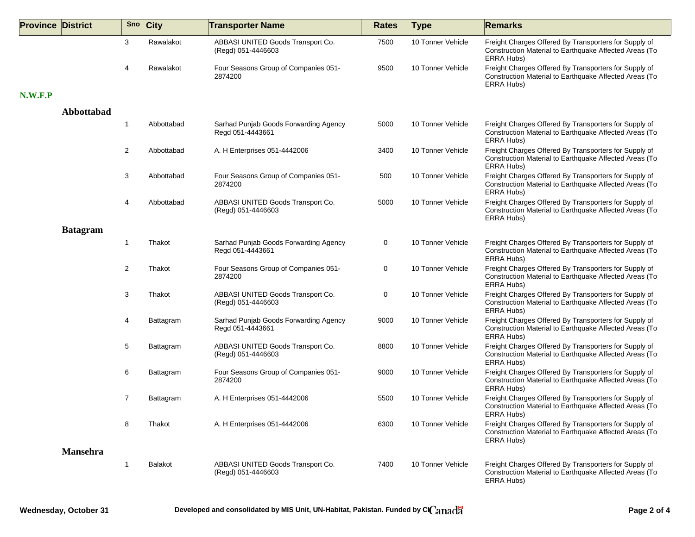| <b>Province District</b> |                 |              | Sno City       | <b>Transporter Name</b>                                   | <b>Rates</b> | <b>Type</b>       | <b>Remarks</b>                                                                                                                |
|--------------------------|-----------------|--------------|----------------|-----------------------------------------------------------|--------------|-------------------|-------------------------------------------------------------------------------------------------------------------------------|
|                          |                 | 3            | Rawalakot      | ABBASI UNITED Goods Transport Co.<br>(Regd) 051-4446603   | 7500         | 10 Tonner Vehicle | Freight Charges Offered By Transporters for Supply of<br>Construction Material to Earthquake Affected Areas (To<br>ERRA Hubs) |
|                          |                 | 4            | Rawalakot      | Four Seasons Group of Companies 051-<br>2874200           | 9500         | 10 Tonner Vehicle | Freight Charges Offered By Transporters for Supply of<br>Construction Material to Earthquake Affected Areas (To<br>ERRA Hubs) |
| N.W.F.P                  |                 |              |                |                                                           |              |                   |                                                                                                                               |
|                          | Abbottabad      |              |                |                                                           |              |                   |                                                                                                                               |
|                          |                 | -1           | Abbottabad     | Sarhad Punjab Goods Forwarding Agency<br>Regd 051-4443661 | 5000         | 10 Tonner Vehicle | Freight Charges Offered By Transporters for Supply of<br>Construction Material to Earthquake Affected Areas (To<br>ERRA Hubs) |
|                          |                 | 2            | Abbottabad     | A. H Enterprises 051-4442006                              | 3400         | 10 Tonner Vehicle | Freight Charges Offered By Transporters for Supply of<br>Construction Material to Earthquake Affected Areas (To<br>ERRA Hubs) |
|                          |                 | 3            | Abbottabad     | Four Seasons Group of Companies 051-<br>2874200           | 500          | 10 Tonner Vehicle | Freight Charges Offered By Transporters for Supply of<br>Construction Material to Earthquake Affected Areas (To<br>ERRA Hubs) |
|                          |                 | 4            | Abbottabad     | ABBASI UNITED Goods Transport Co.<br>(Regd) 051-4446603   | 5000         | 10 Tonner Vehicle | Freight Charges Offered By Transporters for Supply of<br>Construction Material to Earthquake Affected Areas (To<br>ERRA Hubs) |
|                          | <b>Batagram</b> |              |                |                                                           |              |                   |                                                                                                                               |
|                          |                 | $\mathbf{1}$ | Thakot         | Sarhad Punjab Goods Forwarding Agency<br>Regd 051-4443661 | 0            | 10 Tonner Vehicle | Freight Charges Offered By Transporters for Supply of<br>Construction Material to Earthquake Affected Areas (To<br>ERRA Hubs) |
|                          |                 | 2            | Thakot         | Four Seasons Group of Companies 051-<br>2874200           | 0            | 10 Tonner Vehicle | Freight Charges Offered By Transporters for Supply of<br>Construction Material to Earthquake Affected Areas (To<br>ERRA Hubs) |
|                          |                 | 3            | Thakot         | ABBASI UNITED Goods Transport Co.<br>(Regd) 051-4446603   | 0            | 10 Tonner Vehicle | Freight Charges Offered By Transporters for Supply of<br>Construction Material to Earthquake Affected Areas (To<br>ERRA Hubs) |
|                          |                 | 4            | Battagram      | Sarhad Punjab Goods Forwarding Agency<br>Regd 051-4443661 | 9000         | 10 Tonner Vehicle | Freight Charges Offered By Transporters for Supply of<br>Construction Material to Earthquake Affected Areas (To<br>ERRA Hubs) |
|                          |                 | 5            | Battagram      | ABBASI UNITED Goods Transport Co.<br>(Regd) 051-4446603   | 8800         | 10 Tonner Vehicle | Freight Charges Offered By Transporters for Supply of<br>Construction Material to Earthquake Affected Areas (To<br>ERRA Hubs) |
|                          |                 | 6            | Battagram      | Four Seasons Group of Companies 051-<br>2874200           | 9000         | 10 Tonner Vehicle | Freight Charges Offered By Transporters for Supply of<br>Construction Material to Earthquake Affected Areas (To<br>ERRA Hubs) |
|                          |                 | 7            | Battagram      | A. H Enterprises 051-4442006                              | 5500         | 10 Tonner Vehicle | Freight Charges Offered By Transporters for Supply of<br>Construction Material to Earthquake Affected Areas (To<br>ERRA Hubs) |
|                          |                 | 8            | Thakot         | A. H Enterprises 051-4442006                              | 6300         | 10 Tonner Vehicle | Freight Charges Offered By Transporters for Supply of<br>Construction Material to Earthquake Affected Areas (To<br>ERRA Hubs) |
|                          | <b>Mansehra</b> |              |                |                                                           |              |                   |                                                                                                                               |
|                          |                 | 1            | <b>Balakot</b> | ABBASI UNITED Goods Transport Co.<br>(Regd) 051-4446603   | 7400         | 10 Tonner Vehicle | Freight Charges Offered By Transporters for Supply of<br>Construction Material to Earthquake Affected Areas (To<br>ERRA Hubs) |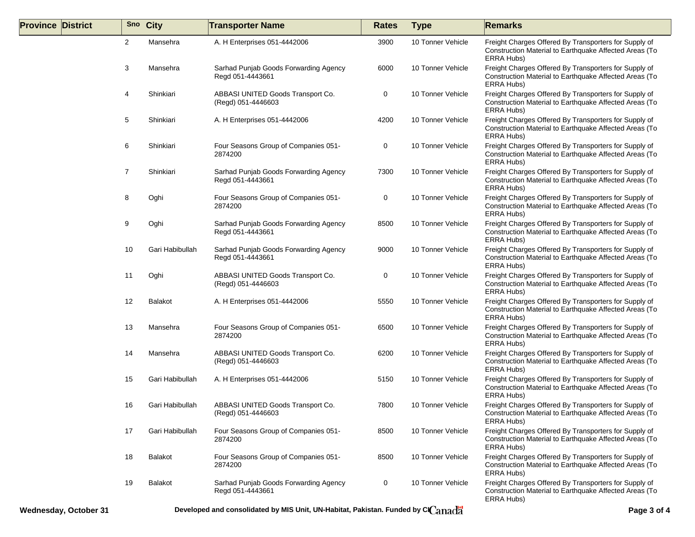| <b>Province District</b> |                | Sno City        | <b>Transporter Name</b>                                   | <b>Rates</b> | <b>Type</b>       | <b>Remarks</b>                                                                                                                |
|--------------------------|----------------|-----------------|-----------------------------------------------------------|--------------|-------------------|-------------------------------------------------------------------------------------------------------------------------------|
|                          | $\overline{2}$ | Mansehra        | A. H Enterprises 051-4442006                              | 3900         | 10 Tonner Vehicle | Freight Charges Offered By Transporters for Supply of<br>Construction Material to Earthquake Affected Areas (To<br>ERRA Hubs) |
|                          | 3              | Mansehra        | Sarhad Punjab Goods Forwarding Agency<br>Regd 051-4443661 | 6000         | 10 Tonner Vehicle | Freight Charges Offered By Transporters for Supply of<br>Construction Material to Earthquake Affected Areas (To<br>ERRA Hubs) |
|                          | 4              | Shinkiari       | ABBASI UNITED Goods Transport Co.<br>(Regd) 051-4446603   | 0            | 10 Tonner Vehicle | Freight Charges Offered By Transporters for Supply of<br>Construction Material to Earthquake Affected Areas (To<br>ERRA Hubs) |
|                          | 5              | Shinkiari       | A. H Enterprises 051-4442006                              | 4200         | 10 Tonner Vehicle | Freight Charges Offered By Transporters for Supply of<br>Construction Material to Earthquake Affected Areas (To<br>ERRA Hubs) |
|                          | 6              | Shinkiari       | Four Seasons Group of Companies 051-<br>2874200           | 0            | 10 Tonner Vehicle | Freight Charges Offered By Transporters for Supply of<br>Construction Material to Earthquake Affected Areas (To<br>ERRA Hubs) |
|                          | 7              | Shinkiari       | Sarhad Punjab Goods Forwarding Agency<br>Regd 051-4443661 | 7300         | 10 Tonner Vehicle | Freight Charges Offered By Transporters for Supply of<br>Construction Material to Earthquake Affected Areas (To<br>ERRA Hubs) |
|                          | 8              | Oghi            | Four Seasons Group of Companies 051-<br>2874200           | 0            | 10 Tonner Vehicle | Freight Charges Offered By Transporters for Supply of<br>Construction Material to Earthquake Affected Areas (To<br>ERRA Hubs) |
|                          | 9              | Oghi            | Sarhad Punjab Goods Forwarding Agency<br>Regd 051-4443661 | 8500         | 10 Tonner Vehicle | Freight Charges Offered By Transporters for Supply of<br>Construction Material to Earthquake Affected Areas (To<br>ERRA Hubs) |
|                          | 10             | Gari Habibullah | Sarhad Punjab Goods Forwarding Agency<br>Regd 051-4443661 | 9000         | 10 Tonner Vehicle | Freight Charges Offered By Transporters for Supply of<br>Construction Material to Earthquake Affected Areas (To<br>ERRA Hubs) |
|                          | 11             | Oghi            | ABBASI UNITED Goods Transport Co.<br>(Regd) 051-4446603   | 0            | 10 Tonner Vehicle | Freight Charges Offered By Transporters for Supply of<br>Construction Material to Earthquake Affected Areas (To<br>ERRA Hubs) |
|                          | 12             | <b>Balakot</b>  | A. H Enterprises 051-4442006                              | 5550         | 10 Tonner Vehicle | Freight Charges Offered By Transporters for Supply of<br>Construction Material to Earthquake Affected Areas (To<br>ERRA Hubs) |
|                          | 13             | Mansehra        | Four Seasons Group of Companies 051-<br>2874200           | 6500         | 10 Tonner Vehicle | Freight Charges Offered By Transporters for Supply of<br>Construction Material to Earthquake Affected Areas (To<br>ERRA Hubs) |
|                          | 14             | Mansehra        | ABBASI UNITED Goods Transport Co.<br>(Regd) 051-4446603   | 6200         | 10 Tonner Vehicle | Freight Charges Offered By Transporters for Supply of<br>Construction Material to Earthquake Affected Areas (To<br>ERRA Hubs) |
|                          | 15             | Gari Habibullah | A. H Enterprises 051-4442006                              | 5150         | 10 Tonner Vehicle | Freight Charges Offered By Transporters for Supply of<br>Construction Material to Earthquake Affected Areas (To<br>ERRA Hubs) |
|                          | 16             | Gari Habibullah | ABBASI UNITED Goods Transport Co.<br>(Regd) 051-4446603   | 7800         | 10 Tonner Vehicle | Freight Charges Offered By Transporters for Supply of<br>Construction Material to Earthquake Affected Areas (To<br>ERRA Hubs) |
|                          | 17             | Gari Habibullah | Four Seasons Group of Companies 051-<br>2874200           | 8500         | 10 Tonner Vehicle | Freight Charges Offered By Transporters for Supply of<br>Construction Material to Earthquake Affected Areas (To<br>ERRA Hubs) |
|                          | 18             | <b>Balakot</b>  | Four Seasons Group of Companies 051-<br>2874200           | 8500         | 10 Tonner Vehicle | Freight Charges Offered By Transporters for Supply of<br>Construction Material to Earthquake Affected Areas (To<br>ERRA Hubs) |
|                          | 19             | <b>Balakot</b>  | Sarhad Punjab Goods Forwarding Agency<br>Regd 051-4443661 | 0            | 10 Tonner Vehicle | Freight Charges Offered By Transporters for Supply of<br>Construction Material to Earthquake Affected Areas (To<br>ERRA Hubs) |